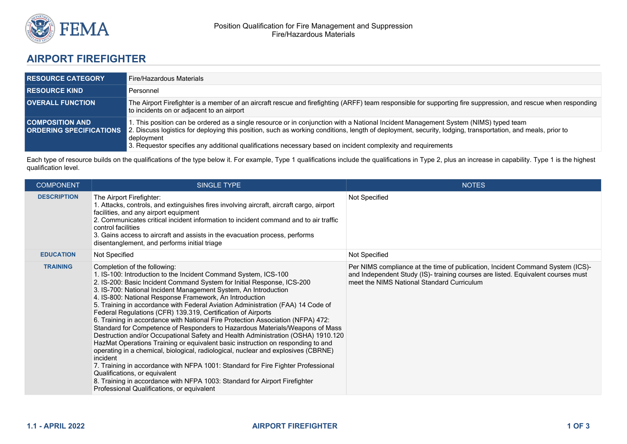

## **AIRPORT FIREFIGHTER**

| <b>RESOURCE CATEGORY</b> | Fire/Hazardous Materials                                                                                                                                                                                                                                                                                                                                                                                                                                       |
|--------------------------|----------------------------------------------------------------------------------------------------------------------------------------------------------------------------------------------------------------------------------------------------------------------------------------------------------------------------------------------------------------------------------------------------------------------------------------------------------------|
| <b>RESOURCE KIND</b>     | Personnel                                                                                                                                                                                                                                                                                                                                                                                                                                                      |
| <b>OVERALL FUNCTION</b>  | The Airport Firefighter is a member of an aircraft rescue and firefighting (ARFF) team responsible for supporting fire suppression, and rescue when responding<br>to incidents on or adjacent to an airport                                                                                                                                                                                                                                                    |
| <b>COMPOSITION AND .</b> | 1. This position can be ordered as a single resource or in conjunction with a National Incident Management System (NIMS) typed team<br><b>ORDERING SPECIFICATIONS</b> 2. Discuss logistics for deploying this position, such as working conditions, length of deployment, security, lodging, transportation, and meals, prior to<br>deployment<br>3. Requestor specifies any additional qualifications necessary based on incident complexity and requirements |

Each type of resource builds on the qualifications of the type below it. For example, Type 1 qualifications include the qualifications in Type 2, plus an increase in capability. Type 1 is the highest qualification level.

| <b>COMPONENT</b>   | <b>SINGLE TYPE</b>                                                                                                                                                                                                                                                                                                                                                                                                                                                                                                                                                                                                                                                                                                                                                                                                                                                                                                                                                                                                                                                                                                                                     | <b>NOTES</b>                                                                                                                                                                                                     |
|--------------------|--------------------------------------------------------------------------------------------------------------------------------------------------------------------------------------------------------------------------------------------------------------------------------------------------------------------------------------------------------------------------------------------------------------------------------------------------------------------------------------------------------------------------------------------------------------------------------------------------------------------------------------------------------------------------------------------------------------------------------------------------------------------------------------------------------------------------------------------------------------------------------------------------------------------------------------------------------------------------------------------------------------------------------------------------------------------------------------------------------------------------------------------------------|------------------------------------------------------------------------------------------------------------------------------------------------------------------------------------------------------------------|
| <b>DESCRIPTION</b> | The Airport Firefighter:<br>1. Attacks, controls, and extinguishes fires involving aircraft, aircraft cargo, airport<br>facilities, and any airport equipment<br>2. Communicates critical incident information to incident command and to air traffic<br>control facilities<br>3. Gains access to aircraft and assists in the evacuation process, performs<br>disentanglement, and performs initial triage                                                                                                                                                                                                                                                                                                                                                                                                                                                                                                                                                                                                                                                                                                                                             | Not Specified                                                                                                                                                                                                    |
| <b>EDUCATION</b>   | Not Specified                                                                                                                                                                                                                                                                                                                                                                                                                                                                                                                                                                                                                                                                                                                                                                                                                                                                                                                                                                                                                                                                                                                                          | Not Specified                                                                                                                                                                                                    |
| <b>TRAINING</b>    | Completion of the following:<br>1. IS-100: Introduction to the Incident Command System, ICS-100<br>2. IS-200: Basic Incident Command System for Initial Response, ICS-200<br>3. IS-700: National Incident Management System, An Introduction<br>4. IS-800: National Response Framework, An Introduction<br>5. Training in accordance with Federal Aviation Administration (FAA) 14 Code of<br>Federal Regulations (CFR) 139.319, Certification of Airports<br>6. Training in accordance with National Fire Protection Association (NFPA) 472:<br>Standard for Competence of Responders to Hazardous Materials/Weapons of Mass<br>Destruction and/or Occupational Safety and Health Administration (OSHA) 1910.120<br>HazMat Operations Training or equivalent basic instruction on responding to and<br>operating in a chemical, biological, radiological, nuclear and explosives (CBRNE)<br>incident<br>7. Training in accordance with NFPA 1001: Standard for Fire Fighter Professional<br>Qualifications, or equivalent<br>8. Training in accordance with NFPA 1003: Standard for Airport Firefighter<br>Professional Qualifications, or equivalent | Per NIMS compliance at the time of publication, Incident Command System (ICS)-<br>and Independent Study (IS)- training courses are listed. Equivalent courses must<br>meet the NIMS National Standard Curriculum |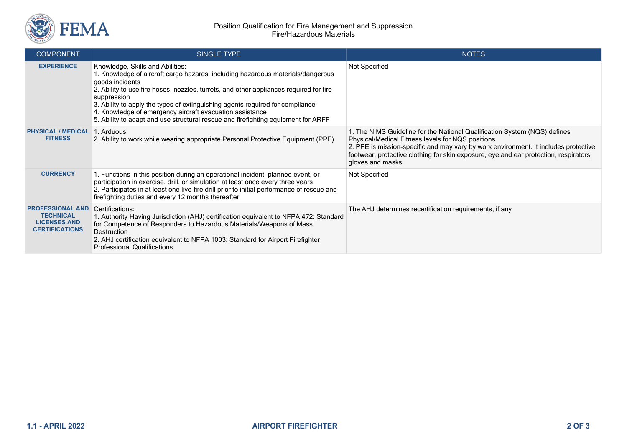

| <b>COMPONENT</b>                                                                            | <b>SINGLE TYPE</b>                                                                                                                                                                                                                                                                                                                                                                                                                                                                | <b>NOTES</b>                                                                                                                                                                                                                                                                                                                       |
|---------------------------------------------------------------------------------------------|-----------------------------------------------------------------------------------------------------------------------------------------------------------------------------------------------------------------------------------------------------------------------------------------------------------------------------------------------------------------------------------------------------------------------------------------------------------------------------------|------------------------------------------------------------------------------------------------------------------------------------------------------------------------------------------------------------------------------------------------------------------------------------------------------------------------------------|
| <b>EXPERIENCE</b>                                                                           | Knowledge, Skills and Abilities:<br>1. Knowledge of aircraft cargo hazards, including hazardous materials/dangerous<br>goods incidents<br>2. Ability to use fire hoses, nozzles, turrets, and other appliances required for fire<br>suppression<br>3. Ability to apply the types of extinguishing agents required for compliance<br>4. Knowledge of emergency aircraft evacuation assistance<br>5. Ability to adapt and use structural rescue and firefighting equipment for ARFF | Not Specified                                                                                                                                                                                                                                                                                                                      |
| <b>PHYSICAL / MEDICAL</b><br><b>FITNESS</b>                                                 | 1. Arduous<br>2. Ability to work while wearing appropriate Personal Protective Equipment (PPE)                                                                                                                                                                                                                                                                                                                                                                                    | 1. The NIMS Guideline for the National Qualification System (NQS) defines<br>Physical/Medical Fitness levels for NQS positions<br>2. PPE is mission-specific and may vary by work environment. It includes protective<br>footwear, protective clothing for skin exposure, eye and ear protection, respirators,<br>gloves and masks |
| <b>CURRENCY</b>                                                                             | 1. Functions in this position during an operational incident, planned event, or<br>participation in exercise, drill, or simulation at least once every three years<br>2. Participates in at least one live-fire drill prior to initial performance of rescue and<br>firefighting duties and every 12 months thereafter                                                                                                                                                            | Not Specified                                                                                                                                                                                                                                                                                                                      |
| <b>PROFESSIONAL AND</b><br><b>TECHNICAL</b><br><b>LICENSES AND</b><br><b>CERTIFICATIONS</b> | Certifications:<br>1. Authority Having Jurisdiction (AHJ) certification equivalent to NFPA 472: Standard<br>for Competence of Responders to Hazardous Materials/Weapons of Mass<br><b>Destruction</b><br>2. AHJ certification equivalent to NFPA 1003: Standard for Airport Firefighter<br><b>Professional Qualifications</b>                                                                                                                                                     | The AHJ determines recertification requirements, if any                                                                                                                                                                                                                                                                            |